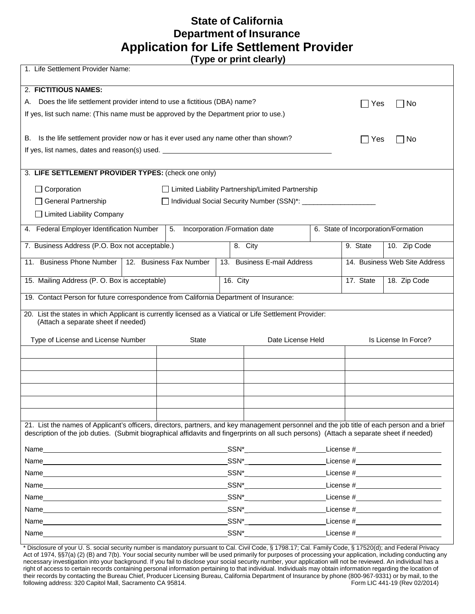## **State of California Department of Insurance Application for Life Settlement Provider**

**(Type or print clearly)** 

| 1. Life Settlement Provider Name:                                                                                                                                                                                                                                                      |                                                                                                                                                                                                                                                                                                                                                     |                                     |  |  |  |  |  |  |
|----------------------------------------------------------------------------------------------------------------------------------------------------------------------------------------------------------------------------------------------------------------------------------------|-----------------------------------------------------------------------------------------------------------------------------------------------------------------------------------------------------------------------------------------------------------------------------------------------------------------------------------------------------|-------------------------------------|--|--|--|--|--|--|
| 2. FICTITIOUS NAMES:                                                                                                                                                                                                                                                                   |                                                                                                                                                                                                                                                                                                                                                     |                                     |  |  |  |  |  |  |
| Does the life settlement provider intend to use a fictitious (DBA) name?<br>А.                                                                                                                                                                                                         |                                                                                                                                                                                                                                                                                                                                                     | No<br>Yes                           |  |  |  |  |  |  |
| If yes, list such name: (This name must be approved by the Department prior to use.)                                                                                                                                                                                                   |                                                                                                                                                                                                                                                                                                                                                     |                                     |  |  |  |  |  |  |
|                                                                                                                                                                                                                                                                                        |                                                                                                                                                                                                                                                                                                                                                     |                                     |  |  |  |  |  |  |
| Is the life settlement provider now or has it ever used any name other than shown?<br>В.                                                                                                                                                                                               |                                                                                                                                                                                                                                                                                                                                                     | ∣ Yes<br>⊟ No                       |  |  |  |  |  |  |
| If yes, list names, dates and reason(s) used. __________________________________                                                                                                                                                                                                       |                                                                                                                                                                                                                                                                                                                                                     |                                     |  |  |  |  |  |  |
|                                                                                                                                                                                                                                                                                        |                                                                                                                                                                                                                                                                                                                                                     |                                     |  |  |  |  |  |  |
| 3. LIFE SETTLEMENT PROVIDER TYPES: (check one only)                                                                                                                                                                                                                                    |                                                                                                                                                                                                                                                                                                                                                     |                                     |  |  |  |  |  |  |
| $\Box$ Corporation                                                                                                                                                                                                                                                                     | □ Limited Liability Partnership/Limited Partnership                                                                                                                                                                                                                                                                                                 |                                     |  |  |  |  |  |  |
| General Partnership                                                                                                                                                                                                                                                                    | □ Individual Social Security Number (SSN)*: ___________                                                                                                                                                                                                                                                                                             |                                     |  |  |  |  |  |  |
| □ Limited Liability Company                                                                                                                                                                                                                                                            |                                                                                                                                                                                                                                                                                                                                                     |                                     |  |  |  |  |  |  |
| 4. Federal Employer Identification Number<br>5.                                                                                                                                                                                                                                        | Incorporation /Formation date                                                                                                                                                                                                                                                                                                                       | 6. State of Incorporation/Formation |  |  |  |  |  |  |
|                                                                                                                                                                                                                                                                                        |                                                                                                                                                                                                                                                                                                                                                     |                                     |  |  |  |  |  |  |
| 7. Business Address (P.O. Box not acceptable.)                                                                                                                                                                                                                                         | 8. City                                                                                                                                                                                                                                                                                                                                             | 9. State<br>10. Zip Code            |  |  |  |  |  |  |
| <b>Business Phone Number</b><br>12. Business Fax Number<br>11.                                                                                                                                                                                                                         | 13. Business E-mail Address                                                                                                                                                                                                                                                                                                                         | 14. Business Web Site Address       |  |  |  |  |  |  |
| 15. Mailing Address (P. O. Box is acceptable)                                                                                                                                                                                                                                          | 16. City                                                                                                                                                                                                                                                                                                                                            | 18. Zip Code<br>17. State           |  |  |  |  |  |  |
| 19. Contact Person for future correspondence from California Department of Insurance:                                                                                                                                                                                                  |                                                                                                                                                                                                                                                                                                                                                     |                                     |  |  |  |  |  |  |
| 20. List the states in which Applicant is currently licensed as a Viatical or Life Settlement Provider:<br>(Attach a separate sheet if needed)                                                                                                                                         |                                                                                                                                                                                                                                                                                                                                                     |                                     |  |  |  |  |  |  |
| Type of License and License Number                                                                                                                                                                                                                                                     | Date License Held<br><b>State</b>                                                                                                                                                                                                                                                                                                                   | Is License In Force?                |  |  |  |  |  |  |
|                                                                                                                                                                                                                                                                                        |                                                                                                                                                                                                                                                                                                                                                     |                                     |  |  |  |  |  |  |
|                                                                                                                                                                                                                                                                                        |                                                                                                                                                                                                                                                                                                                                                     |                                     |  |  |  |  |  |  |
|                                                                                                                                                                                                                                                                                        |                                                                                                                                                                                                                                                                                                                                                     |                                     |  |  |  |  |  |  |
|                                                                                                                                                                                                                                                                                        |                                                                                                                                                                                                                                                                                                                                                     |                                     |  |  |  |  |  |  |
|                                                                                                                                                                                                                                                                                        |                                                                                                                                                                                                                                                                                                                                                     |                                     |  |  |  |  |  |  |
|                                                                                                                                                                                                                                                                                        |                                                                                                                                                                                                                                                                                                                                                     |                                     |  |  |  |  |  |  |
| 21. List the names of Applicant's officers, directors, partners, and key management personnel and the job title of each person and a brief<br>description of the job duties. (Submit biographical affidavits and fingerprints on all such persons) (Attach a separate sheet if needed) |                                                                                                                                                                                                                                                                                                                                                     |                                     |  |  |  |  |  |  |
| Name                                                                                                                                                                                                                                                                                   |                                                                                                                                                                                                                                                                                                                                                     |                                     |  |  |  |  |  |  |
| Name                                                                                                                                                                                                                                                                                   | $SSN_{-}^*$                                                                                                                                                                                                                                                                                                                                         |                                     |  |  |  |  |  |  |
|                                                                                                                                                                                                                                                                                        | $SSN^*$                                                                                                                                                                                                                                                                                                                                             |                                     |  |  |  |  |  |  |
|                                                                                                                                                                                                                                                                                        | $SSN_{\_\_$                                                                                                                                                                                                                                                                                                                                         |                                     |  |  |  |  |  |  |
| Name_<br><u> 1980 - Jan Samuel Barbara, margaret eta idazlea (h. 1980).</u>                                                                                                                                                                                                            |                                                                                                                                                                                                                                                                                                                                                     |                                     |  |  |  |  |  |  |
|                                                                                                                                                                                                                                                                                        | $\begin{picture}(20,10) \put(0,0){\line(1,0){10}} \put(15,0){\line(1,0){10}} \put(15,0){\line(1,0){10}} \put(15,0){\line(1,0){10}} \put(15,0){\line(1,0){10}} \put(15,0){\line(1,0){10}} \put(15,0){\line(1,0){10}} \put(15,0){\line(1,0){10}} \put(15,0){\line(1,0){10}} \put(15,0){\line(1,0){10}} \put(15,0){\line(1,0){10}} \put(15,0){\line(1$ |                                     |  |  |  |  |  |  |
|                                                                                                                                                                                                                                                                                        | $SSN_{\_}$                                                                                                                                                                                                                                                                                                                                          |                                     |  |  |  |  |  |  |
|                                                                                                                                                                                                                                                                                        | $-$ SSN* $\_\_$                                                                                                                                                                                                                                                                                                                                     |                                     |  |  |  |  |  |  |

Form LIC 441-19 (Rev 02/2014) \* Disclosure of your U. S. social security number is mandatory pursuant to Cal. Civil Code, § 1798.17; Cal. Family Code, § 17520(d); and Federal Privacy Act of 1974, §§7(a) (2) (B) and 7(b). Your social security number will be used primarily for purposes of processing your application, including conducting any necessary investigation into your background. If you fail to disclose your social security number, your application will not be reviewed. An individual has a right of access to certain records containing personal information pertaining to that individual. Individuals may obtain information regarding the location of their records by contacting the Bureau Chief, Producer Licensing Bureau, California Department of Insurance by phone (800-967-9331) or by mail, to the following address: 320 Capitol Mall, Sacramento CA 95814.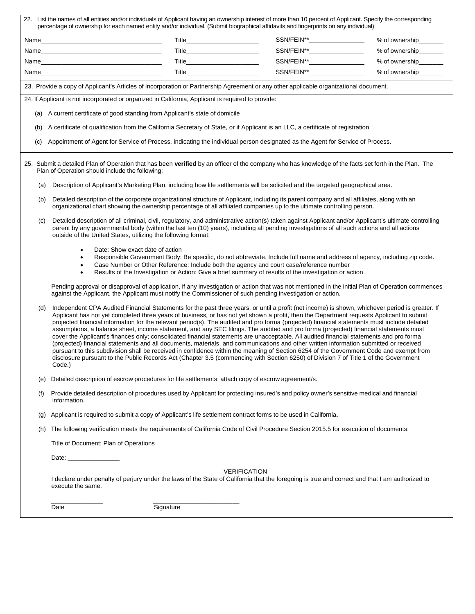|     |                                                                                                                                                                                                                                                                                                                                                                                                                                                                                                                                                                                                                                                                                                                                                                                                                                                                                                                                                                                                                                                                                                                                                                            | 22. List the names of all entities and/or individuals of Applicant having an ownership interest of more than 10 percent of Applicant. Specify the corresponding<br>percentage of ownership for each named entity and/or individual. (Submit biographical affidavits and fingerprints on any individual). |                                 |                               |                        |  |  |  |  |
|-----|----------------------------------------------------------------------------------------------------------------------------------------------------------------------------------------------------------------------------------------------------------------------------------------------------------------------------------------------------------------------------------------------------------------------------------------------------------------------------------------------------------------------------------------------------------------------------------------------------------------------------------------------------------------------------------------------------------------------------------------------------------------------------------------------------------------------------------------------------------------------------------------------------------------------------------------------------------------------------------------------------------------------------------------------------------------------------------------------------------------------------------------------------------------------------|----------------------------------------------------------------------------------------------------------------------------------------------------------------------------------------------------------------------------------------------------------------------------------------------------------|---------------------------------|-------------------------------|------------------------|--|--|--|--|
|     |                                                                                                                                                                                                                                                                                                                                                                                                                                                                                                                                                                                                                                                                                                                                                                                                                                                                                                                                                                                                                                                                                                                                                                            | Name                                                                                                                                                                                                                                                                                                     | Title_________________________  | SSN/FEIN**__________________  | % of ownership________ |  |  |  |  |
|     |                                                                                                                                                                                                                                                                                                                                                                                                                                                                                                                                                                                                                                                                                                                                                                                                                                                                                                                                                                                                                                                                                                                                                                            |                                                                                                                                                                                                                                                                                                          | Title__________________________ | SSN/FEIN**______________      | % of ownership________ |  |  |  |  |
|     |                                                                                                                                                                                                                                                                                                                                                                                                                                                                                                                                                                                                                                                                                                                                                                                                                                                                                                                                                                                                                                                                                                                                                                            | Name and the contract of the contract of the contract of the contract of the contract of the contract of the contract of the contract of the contract of the contract of the contract of the contract of the contract of the c                                                                           | Title_________________________  | SSN/FEIN**__________________  | % of ownership         |  |  |  |  |
|     |                                                                                                                                                                                                                                                                                                                                                                                                                                                                                                                                                                                                                                                                                                                                                                                                                                                                                                                                                                                                                                                                                                                                                                            |                                                                                                                                                                                                                                                                                                          |                                 | SSN/FEIN**___________________ | % of ownership         |  |  |  |  |
|     | 23. Provide a copy of Applicant's Articles of Incorporation or Partnership Agreement or any other applicable organizational document.                                                                                                                                                                                                                                                                                                                                                                                                                                                                                                                                                                                                                                                                                                                                                                                                                                                                                                                                                                                                                                      |                                                                                                                                                                                                                                                                                                          |                                 |                               |                        |  |  |  |  |
|     |                                                                                                                                                                                                                                                                                                                                                                                                                                                                                                                                                                                                                                                                                                                                                                                                                                                                                                                                                                                                                                                                                                                                                                            | 24. If Applicant is not incorporated or organized in California, Applicant is required to provide:                                                                                                                                                                                                       |                                 |                               |                        |  |  |  |  |
| (a) | A current certificate of good standing from Applicant's state of domicile                                                                                                                                                                                                                                                                                                                                                                                                                                                                                                                                                                                                                                                                                                                                                                                                                                                                                                                                                                                                                                                                                                  |                                                                                                                                                                                                                                                                                                          |                                 |                               |                        |  |  |  |  |
| (b) |                                                                                                                                                                                                                                                                                                                                                                                                                                                                                                                                                                                                                                                                                                                                                                                                                                                                                                                                                                                                                                                                                                                                                                            | A certificate of qualification from the California Secretary of State, or if Applicant is an LLC, a certificate of registration                                                                                                                                                                          |                                 |                               |                        |  |  |  |  |
| (c) |                                                                                                                                                                                                                                                                                                                                                                                                                                                                                                                                                                                                                                                                                                                                                                                                                                                                                                                                                                                                                                                                                                                                                                            | Appointment of Agent for Service of Process, indicating the individual person designated as the Agent for Service of Process.                                                                                                                                                                            |                                 |                               |                        |  |  |  |  |
|     | 25. Submit a detailed Plan of Operation that has been verified by an officer of the company who has knowledge of the facts set forth in the Plan. The<br>Plan of Operation should include the following:                                                                                                                                                                                                                                                                                                                                                                                                                                                                                                                                                                                                                                                                                                                                                                                                                                                                                                                                                                   |                                                                                                                                                                                                                                                                                                          |                                 |                               |                        |  |  |  |  |
|     | (a)                                                                                                                                                                                                                                                                                                                                                                                                                                                                                                                                                                                                                                                                                                                                                                                                                                                                                                                                                                                                                                                                                                                                                                        | Description of Applicant's Marketing Plan, including how life settlements will be solicited and the targeted geographical area.                                                                                                                                                                          |                                 |                               |                        |  |  |  |  |
|     | Detailed description of the corporate organizational structure of Applicant, including its parent company and all affiliates, along with an<br>(b)<br>organizational chart showing the ownership percentage of all affiliated companies up to the ultimate controlling person.                                                                                                                                                                                                                                                                                                                                                                                                                                                                                                                                                                                                                                                                                                                                                                                                                                                                                             |                                                                                                                                                                                                                                                                                                          |                                 |                               |                        |  |  |  |  |
|     | Detailed description of all criminal, civil, regulatory, and administrative action(s) taken against Applicant and/or Applicant's ultimate controlling<br>(c)<br>parent by any governmental body (within the last ten (10) years), including all pending investigations of all such actions and all actions<br>outside of the United States, utilizing the following format:                                                                                                                                                                                                                                                                                                                                                                                                                                                                                                                                                                                                                                                                                                                                                                                                |                                                                                                                                                                                                                                                                                                          |                                 |                               |                        |  |  |  |  |
|     | Date: Show exact date of action<br>Responsible Government Body: Be specific, do not abbreviate. Include full name and address of agency, including zip code.<br>٠<br>Case Number or Other Reference: Include both the agency and court case/reference number<br>$\bullet$<br>Results of the Investigation or Action: Give a brief summary of results of the investigation or action<br>$\bullet$                                                                                                                                                                                                                                                                                                                                                                                                                                                                                                                                                                                                                                                                                                                                                                           |                                                                                                                                                                                                                                                                                                          |                                 |                               |                        |  |  |  |  |
|     |                                                                                                                                                                                                                                                                                                                                                                                                                                                                                                                                                                                                                                                                                                                                                                                                                                                                                                                                                                                                                                                                                                                                                                            | Pending approval or disapproval of application, if any investigation or action that was not mentioned in the initial Plan of Operation commences<br>against the Applicant, the Applicant must notify the Commissioner of such pending investigation or action.                                           |                                 |                               |                        |  |  |  |  |
|     | Independent CPA Audited Financial Statements for the past three years, or until a profit (net income) is shown, whichever period is greater. If<br>(d)<br>Applicant has not yet completed three years of business, or has not yet shown a profit, then the Department requests Applicant to submit<br>projected financial information for the relevant period(s). The audited and pro forma (projected) financial statements must include detailed<br>assumptions, a balance sheet, income statement, and any SEC filings. The audited and pro forma (projected) financial statements must<br>cover the Applicant's finances only; consolidated financial statements are unacceptable. All audited financial statements and pro forma<br>(projected) financial statements and all documents, materials, and communications and other written information submitted or received<br>pursuant to this subdivision shall be received in confidence within the meaning of Section 6254 of the Government Code and exempt from<br>disclosure pursuant to the Public Records Act (Chapter 3.5 (commencing with Section 6250) of Division 7 of Title 1 of the Government<br>Code.) |                                                                                                                                                                                                                                                                                                          |                                 |                               |                        |  |  |  |  |
|     | (e)                                                                                                                                                                                                                                                                                                                                                                                                                                                                                                                                                                                                                                                                                                                                                                                                                                                                                                                                                                                                                                                                                                                                                                        | Detailed description of escrow procedures for life settlements; attach copy of escrow agreement/s.                                                                                                                                                                                                       |                                 |                               |                        |  |  |  |  |
|     | (f)                                                                                                                                                                                                                                                                                                                                                                                                                                                                                                                                                                                                                                                                                                                                                                                                                                                                                                                                                                                                                                                                                                                                                                        | Provide detailed description of procedures used by Applicant for protecting insured's and policy owner's sensitive medical and financial<br>information.                                                                                                                                                 |                                 |                               |                        |  |  |  |  |
|     | (g)                                                                                                                                                                                                                                                                                                                                                                                                                                                                                                                                                                                                                                                                                                                                                                                                                                                                                                                                                                                                                                                                                                                                                                        | Applicant is required to submit a copy of Applicant's life settlement contract forms to be used in California.                                                                                                                                                                                           |                                 |                               |                        |  |  |  |  |
|     | (h)                                                                                                                                                                                                                                                                                                                                                                                                                                                                                                                                                                                                                                                                                                                                                                                                                                                                                                                                                                                                                                                                                                                                                                        | The following verification meets the requirements of California Code of Civil Procedure Section 2015.5 for execution of documents:                                                                                                                                                                       |                                 |                               |                        |  |  |  |  |
|     | Title of Document: Plan of Operations                                                                                                                                                                                                                                                                                                                                                                                                                                                                                                                                                                                                                                                                                                                                                                                                                                                                                                                                                                                                                                                                                                                                      |                                                                                                                                                                                                                                                                                                          |                                 |                               |                        |  |  |  |  |
|     |                                                                                                                                                                                                                                                                                                                                                                                                                                                                                                                                                                                                                                                                                                                                                                                                                                                                                                                                                                                                                                                                                                                                                                            |                                                                                                                                                                                                                                                                                                          |                                 |                               |                        |  |  |  |  |
|     | <b>VERIFICATION</b><br>I declare under penalty of perjury under the laws of the State of California that the foregoing is true and correct and that I am authorized to<br>execute the same.                                                                                                                                                                                                                                                                                                                                                                                                                                                                                                                                                                                                                                                                                                                                                                                                                                                                                                                                                                                |                                                                                                                                                                                                                                                                                                          |                                 |                               |                        |  |  |  |  |
|     |                                                                                                                                                                                                                                                                                                                                                                                                                                                                                                                                                                                                                                                                                                                                                                                                                                                                                                                                                                                                                                                                                                                                                                            | Signature<br>Date                                                                                                                                                                                                                                                                                        |                                 |                               |                        |  |  |  |  |
|     |                                                                                                                                                                                                                                                                                                                                                                                                                                                                                                                                                                                                                                                                                                                                                                                                                                                                                                                                                                                                                                                                                                                                                                            |                                                                                                                                                                                                                                                                                                          |                                 |                               |                        |  |  |  |  |